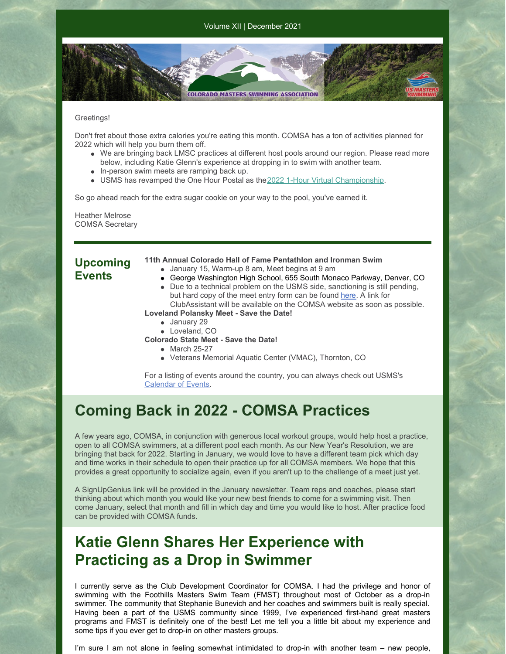#### Greetings!

Don't fret about those extra calories you're eating this month. COMSA has a ton of activities planned for 2022 which will help you burn them off.

**COLORADO MASTERS SWIMMING ASSOCIATION** 

- We are bringing back LMSC practices at different host pools around our region. Please read more below, including Katie Glenn's experience at dropping in to swim with another team.
- In-person swim meets are ramping back up.
- USMS has revamped the One Hour Postal as the2022 1-Hour Virtual [Championship](https://www.usms.org/home/events/national-championships/epostal-national-championships/2022-epostal-national-championships/2022-1-hour-virtual-championship).

So go ahead reach for the extra sugar cookie on your way to the pool, you've earned it.

Heather Melrose COMSA Secretary

### **Upcoming Events**

- **11th Annual Colorado Hall of Fame Pentathlon and Ironman Swim**
	- January 15, Warm-up 8 am, Meet begins at 9 am
	- George Washington High School, 655 South Monaco Parkway, Denver, CO Due to a technical problem on the USMS side, sanctioning is still pending, but hard copy of the meet entry form can be found [here](https://files.constantcontact.com/97cb2c13201/32dcd552-c93c-4d9f-a821-6042482ee403.docx). A link for ClubAssistant will be available on the COMSA website as soon as possible.

**Loveland Polansky Meet - Save the Date!**

- January 29
- Loveland, CO
- **Colorado State Meet - Save the Date!**
	- March 25-27
	- Veterans Memorial Aquatic Center (VMAC), Thornton, CO

For a listing of events around the country, you can always check out USMS's [Calendar](https://www.usms.org/events) of Events.

## **Coming Back in 2022 - COMSA Practices**

A few years ago, COMSA, in conjunction with generous local workout groups, would help host a practice, open to all COMSA swimmers, at a different pool each month. As our New Year's Resolution, we are bringing that back for 2022. Starting in January, we would love to have a different team pick which day and time works in their schedule to open their practice up for all COMSA members. We hope that this provides a great opportunity to socialize again, even if you aren't up to the challenge of a meet just yet.

A SignUpGenius link will be provided in the January newsletter. Team reps and coaches, please start thinking about which month you would like your new best friends to come for a swimming visit. Then come January, select that month and fill in which day and time you would like to host. After practice food can be provided with COMSA funds.

# **Katie Glenn Shares Her Experience with Practicing as a Drop in Swimmer**

I currently serve as the Club Development Coordinator for COMSA. I had the privilege and honor of swimming with the Foothills Masters Swim Team (FMST) throughout most of October as a drop-in swimmer. The community that Stephanie Bunevich and her coaches and swimmers built is really special. Having been a part of the USMS community since 1999, I've experienced first-hand great masters programs and FMST is definitely one of the best! Let me tell you a little bit about my experience and some tips if you ever get to drop-in on other masters groups.

I'm sure I am not alone in feeling somewhat intimidated to drop-in with another team – new people,